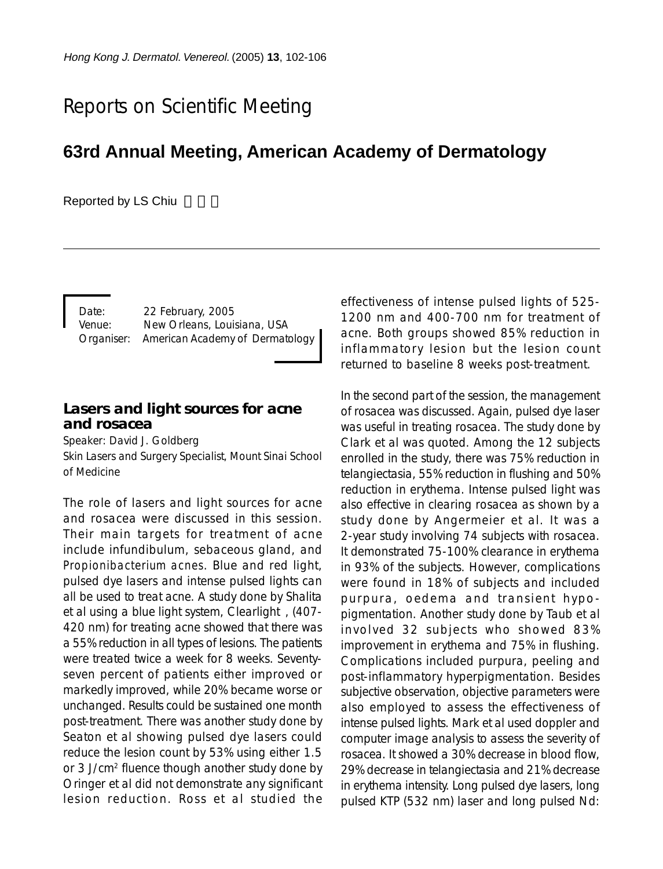# Reports on Scientific Meeting

# **63rd Annual Meeting, American Academy of Dermatology**

Reported by LS Chiu

Date: 22 February, 2005 Venue: New Orleans, Louisiana, USA Organiser: American Academy of Dermatology

#### **Lasers and light sources for acne and rosacea**

Speaker: David J. Goldberg

Skin Lasers and Surgery Specialist, Mount Sinai School of Medicine

The role of lasers and light sources for acne and rosacea were discussed in this session. Their main targets for treatment of acne include infundibulum, sebaceous gland, and *Propionibacterium acnes*. Blue and red light, pulsed dye lasers and intense pulsed lights can all be used to treat acne. A study done by Shalita et al using a blue light system, Clearlight<sup>®</sup>, (407-420 nm) for treating acne showed that there was a 55% reduction in all types of lesions. The patients were treated twice a week for 8 weeks. Seventyseven percent of patients either improved or markedly improved, while 20% became worse or unchanged. Results could be sustained one month post-treatment. There was another study done by Seaton et al showing pulsed dye lasers could reduce the lesion count by 53% using either 1.5 or 3 J/cm2 fluence though another study done by Oringer et al did not demonstrate any significant lesion reduction. Ross et al studied the effectiveness of intense pulsed lights of 525- 1200 nm and 400-700 nm for treatment of acne. Both groups showed 85% reduction in inflammatory lesion but the lesion count returned to baseline 8 weeks post-treatment.

In the second part of the session, the management of rosacea was discussed. Again, pulsed dye laser was useful in treating rosacea. The study done by Clark et al was quoted. Among the 12 subjects enrolled in the study, there was 75% reduction in telangiectasia, 55% reduction in flushing and 50% reduction in erythema. Intense pulsed light was also effective in clearing rosacea as shown by a study done by Angermeier et al. It was a 2-year study involving 74 subjects with rosacea. It demonstrated 75-100% clearance in erythema in 93% of the subjects. However, complications were found in 18% of subjects and included purpura, oedema and transient hypopigmentation. Another study done by Taub et al involved 32 subjects who showed 83% improvement in erythema and 75% in flushing. Complications included purpura, peeling and post-inflammatory hyperpigmentation. Besides subjective observation, objective parameters were also employed to assess the effectiveness of intense pulsed lights. Mark et al used doppler and computer image analysis to assess the severity of rosacea. It showed a 30% decrease in blood flow, 29% decrease in telangiectasia and 21% decrease in erythema intensity. Long pulsed dye lasers, long pulsed KTP (532 nm) laser and long pulsed Nd: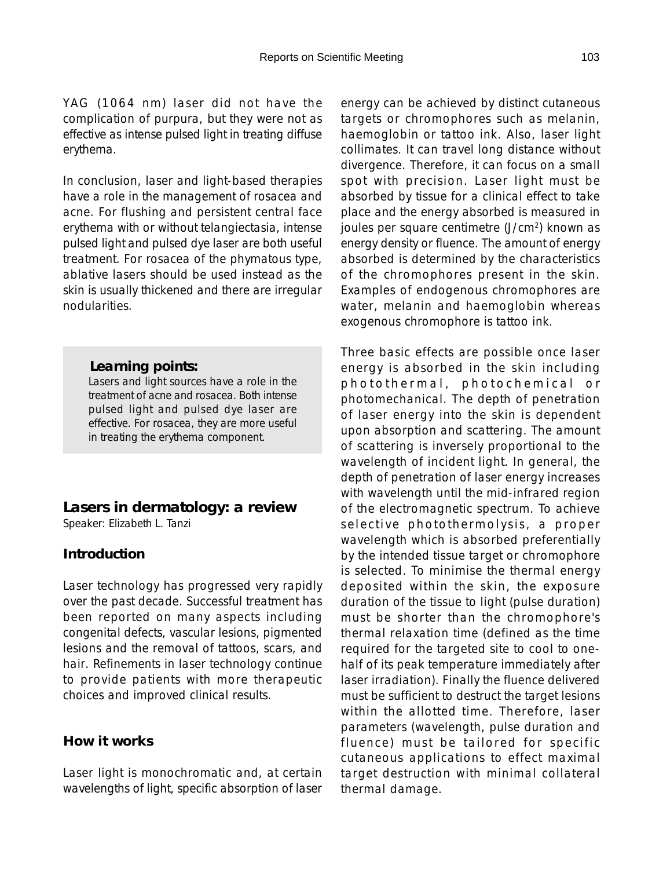YAG (1064 nm) laser did not have the complication of purpura, but they were not as effective as intense pulsed light in treating diffuse erythema.

In conclusion, laser and light-based therapies have a role in the management of rosacea and acne. For flushing and persistent central face erythema with or without telangiectasia, intense pulsed light and pulsed dye laser are both useful treatment. For rosacea of the phymatous type, ablative lasers should be used instead as the skin is usually thickened and there are irregular nodularities.

#### *Learning points:*

Lasers and light sources have a role in the treatment of acne and rosacea. Both intense pulsed light and pulsed dye laser are effective. For rosacea, they are more useful in treating the erythema component.

#### **Lasers in dermatology: a review**

Speaker: Elizabeth L. Tanzi

### **Introduction**

Laser technology has progressed very rapidly over the past decade. Successful treatment has been reported on many aspects including congenital defects, vascular lesions, pigmented lesions and the removal of tattoos, scars, and hair. Refinements in laser technology continue to provide patients with more therapeutic choices and improved clinical results.

#### **How it works**

Laser light is monochromatic and, at certain wavelengths of light, specific absorption of laser

energy can be achieved by distinct cutaneous targets or chromophores such as melanin, haemoglobin or tattoo ink. Also, laser light collimates. It can travel long distance without divergence. Therefore, it can focus on a small spot with precision. Laser light must be absorbed by tissue for a clinical effect to take place and the energy absorbed is measured in joules per square centimetre (J/cm<sup>2</sup>) known as energy density or fluence. The amount of energy absorbed is determined by the characteristics of the chromophores present in the skin. Examples of endogenous chromophores are water, melanin and haemoglobin whereas exogenous chromophore is tattoo ink.

Three basic effects are possible once laser energy is absorbed in the skin including photothermal, photochemical or photomechanical. The depth of penetration of laser energy into the skin is dependent upon absorption and scattering. The amount of scattering is inversely proportional to the wavelength of incident light. In general, the depth of penetration of laser energy increases with wavelength until the mid-infrared region of the electromagnetic spectrum. To achieve selective photothermolysis, a proper wavelength which is absorbed preferentially by the intended tissue target or chromophore is selected. To minimise the thermal energy deposited within the skin, the exposure duration of the tissue to light (pulse duration) must be shorter than the chromophore's thermal relaxation time (defined as the time required for the targeted site to cool to onehalf of its peak temperature immediately after laser irradiation). Finally the fluence delivered must be sufficient to destruct the target lesions within the allotted time. Therefore, laser parameters (wavelength, pulse duration and fluence) must be tailored for specific cutaneous applications to effect maximal target destruction with minimal collateral thermal damage.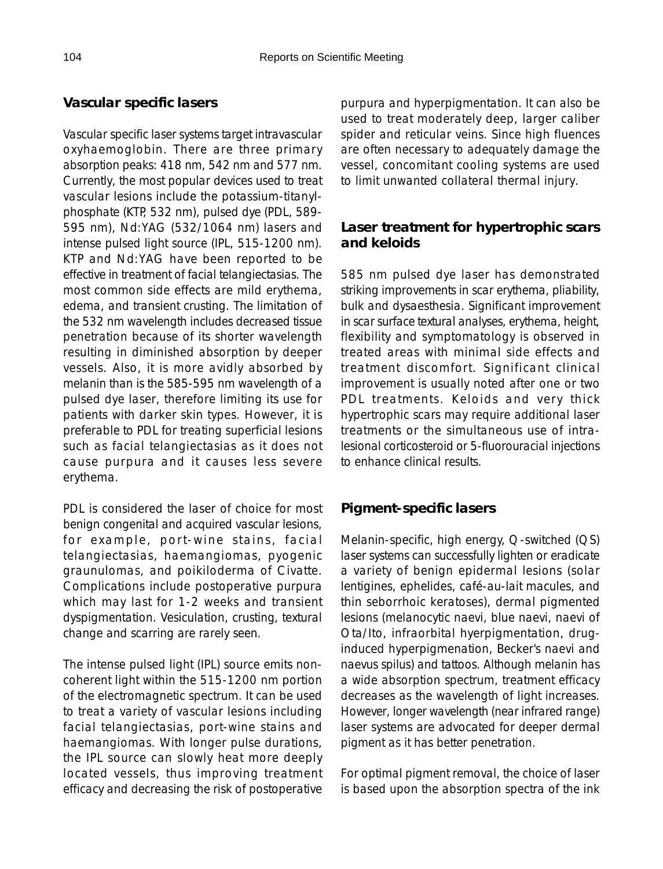# **Vascular specific lasers**

Vascular specific laser systems target intravascular oxyhaemoglobin. There are three primary absorption peaks: 418 nm, 542 nm and 577 nm. Currently, the most popular devices used to treat vascular lesions include the potassium-titanylphosphate (KTP, 532 nm), pulsed dye (PDL, 589- 595 nm), Nd:YAG (532/1064 nm) lasers and intense pulsed light source (IPL, 515-1200 nm). KTP and Nd:YAG have been reported to be effective in treatment of facial telangiectasias. The most common side effects are mild erythema, edema, and transient crusting. The limitation of the 532 nm wavelength includes decreased tissue penetration because of its shorter wavelength resulting in diminished absorption by deeper vessels. Also, it is more avidly absorbed by melanin than is the 585-595 nm wavelength of a pulsed dye laser, therefore limiting its use for patients with darker skin types. However, it is preferable to PDL for treating superficial lesions such as facial telangiectasias as it does not cause purpura and it causes less severe erythema.

PDL is considered the laser of choice for most benign congenital and acquired vascular lesions, for example, port-wine stains, facial telangiectasias, haemangiomas, pyogenic graunulomas, and poikiloderma of Civatte. Complications include postoperative purpura which may last for 1-2 weeks and transient dyspigmentation. Vesiculation, crusting, textural change and scarring are rarely seen.

The intense pulsed light (IPL) source emits noncoherent light within the 515-1200 nm portion of the electromagnetic spectrum. It can be used to treat a variety of vascular lesions including facial telangiectasias, port-wine stains and haemangiomas. With longer pulse durations, the IPL source can slowly heat more deeply located vessels, thus improving treatment efficacy and decreasing the risk of postoperative purpura and hyperpigmentation. It can also be used to treat moderately deep, larger caliber spider and reticular veins. Since high fluences are often necessary to adequately damage the vessel, concomitant cooling systems are used to limit unwanted collateral thermal injury.

#### **Laser treatment for hypertrophic scars and keloids**

585 nm pulsed dye laser has demonstrated striking improvements in scar erythema, pliability, bulk and dysaesthesia. Significant improvement in scar surface textural analyses, erythema, height, flexibility and symptomatology is observed in treated areas with minimal side effects and treatment discomfort. Significant clinical improvement is usually noted after one or two PDL treatments. Keloids and very thick hypertrophic scars may require additional laser treatments or the simultaneous use of intralesional corticosteroid or 5-fluorouracial injections to enhance clinical results.

#### **Pigment-specific lasers**

Melanin-specific, high energy, Q-switched (QS) laser systems can successfully lighten or eradicate a variety of benign epidermal lesions (solar lentigines, ephelides, café-au-lait macules, and thin seborrhoic keratoses), dermal pigmented lesions (melanocytic naevi, blue naevi, naevi of Ota/Ito, infraorbital hyerpigmentation, druginduced hyperpigmenation, Becker's naevi and naevus spilus) and tattoos. Although melanin has a wide absorption spectrum, treatment efficacy decreases as the wavelength of light increases. However, longer wavelength (near infrared range) laser systems are advocated for deeper dermal pigment as it has better penetration.

For optimal pigment removal, the choice of laser is based upon the absorption spectra of the ink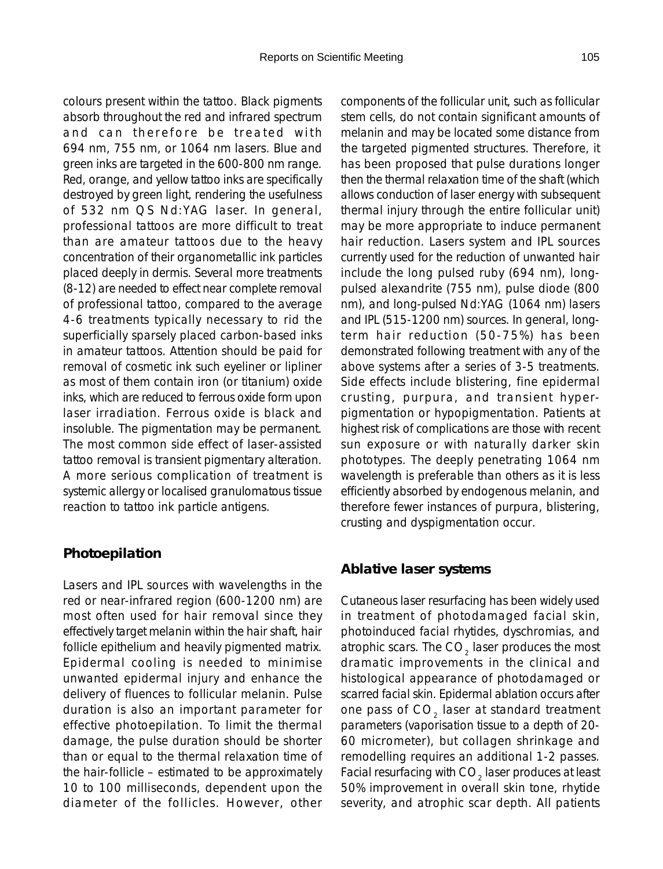colours present within the tattoo. Black pigments absorb throughout the red and infrared spectrum and can therefore be treated with 694 nm, 755 nm, or 1064 nm lasers. Blue and green inks are targeted in the 600-800 nm range. Red, orange, and yellow tattoo inks are specifically destroyed by green light, rendering the usefulness of 532 nm QS Nd:YAG laser. In general, professional tattoos are more difficult to treat than are amateur tattoos due to the heavy concentration of their organometallic ink particles placed deeply in dermis. Several more treatments (8-12) are needed to effect near complete removal of professional tattoo, compared to the average 4-6 treatments typically necessary to rid the superficially sparsely placed carbon-based inks in amateur tattoos. Attention should be paid for removal of cosmetic ink such eyeliner or lipliner as most of them contain iron (or titanium) oxide inks, which are reduced to ferrous oxide form upon laser irradiation. Ferrous oxide is black and insoluble. The pigmentation may be permanent. The most common side effect of laser-assisted tattoo removal is transient pigmentary alteration. A more serious complication of treatment is systemic allergy or localised granulomatous tissue reaction to tattoo ink particle antigens.

#### **Photoepilation**

Lasers and IPL sources with wavelengths in the red or near-infrared region (600-1200 nm) are most often used for hair removal since they effectively target melanin within the hair shaft, hair follicle epithelium and heavily pigmented matrix. Epidermal cooling is needed to minimise unwanted epidermal injury and enhance the delivery of fluences to follicular melanin. Pulse duration is also an important parameter for effective photoepilation. To limit the thermal damage, the pulse duration should be shorter than or equal to the thermal relaxation time of the hair-follicle – estimated to be approximately 10 to 100 milliseconds, dependent upon the diameter of the follicles. However, other

components of the follicular unit, such as follicular stem cells, do not contain significant amounts of melanin and may be located some distance from the targeted pigmented structures. Therefore, it has been proposed that pulse durations longer then the thermal relaxation time of the shaft (which allows conduction of laser energy with subsequent thermal injury through the entire follicular unit) may be more appropriate to induce permanent hair reduction. Lasers system and IPL sources currently used for the reduction of unwanted hair include the long pulsed ruby (694 nm), longpulsed alexandrite (755 nm), pulse diode (800 nm), and long-pulsed Nd:YAG (1064 nm) lasers and IPL (515-1200 nm) sources. In general, longterm hair reduction (50-75%) has been demonstrated following treatment with any of the above systems after a series of 3-5 treatments. Side effects include blistering, fine epidermal crusting, purpura, and transient hyperpigmentation or hypopigmentation. Patients at highest risk of complications are those with recent sun exposure or with naturally darker skin phototypes. The deeply penetrating 1064 nm wavelength is preferable than others as it is less efficiently absorbed by endogenous melanin, and therefore fewer instances of purpura, blistering, crusting and dyspigmentation occur.

#### **Ablative laser systems**

Cutaneous laser resurfacing has been widely used in treatment of photodamaged facial skin, photoinduced facial rhytides, dyschromias, and atrophic scars. The  $CO<sub>2</sub>$  laser produces the most dramatic improvements in the clinical and histological appearance of photodamaged or scarred facial skin. Epidermal ablation occurs after one pass of CO<sub>2</sub> laser at standard treatment parameters (vaporisation tissue to a depth of 20- 60 micrometer), but collagen shrinkage and remodelling requires an additional 1-2 passes. Facial resurfacing with  $CO<sub>2</sub>$  laser produces at least 50% improvement in overall skin tone, rhytide severity, and atrophic scar depth. All patients